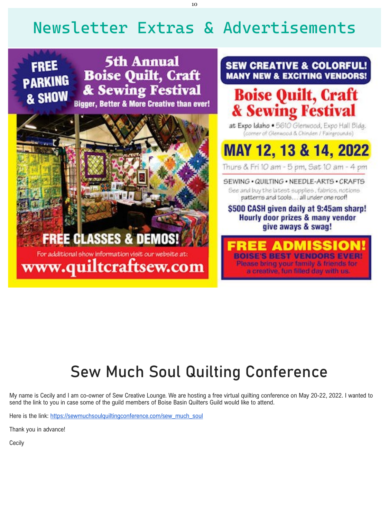Here is the link: [https://sewmuchsoulquiltingconference.com/sew\\_much\\_soul](https://sewcreativelounge-dot-yamm-track.appspot.com/1V287gL7nlbTt3InAMbKtdlwGiIMND8OJmT3P1WpWqrHfAL-agAHXP-xtKR66O1rnQQcrZT4zmeCwSj74p9yalzw4ziAQMU5KESI0X_tkzzDhPaeWfLIZ7hDpSD3zFJwx-Q2RRtsFNwb-KhD3BzJ0Li-WQku3u17vVGY)

# Newsletter Extras & Advertisements

**FREE PARKING** & SHOW

**5th Annual Boise Quilt, Craft** & Sewing Festival **Bigger, Better & More Creative than ever!** 

**FREE CLASSES & DEMOS!** For additional show information visit our website at: www.quiltcraftsew.com **SEW CREATIVE & COLORFUL! MANY NEW & EXCITING VENDORS!** 

# **Boise Quilt, Craft<br>& Sewing Festival**

at Expo Idaho . 5610 Glenwood, Expo Hall Bldg. (corner of Glenwood & Chinden / Fairgrounds)

# MAY 12, 13 & 14, 2022

Thure & Fri 10 am - 5 pm, Sat 10 am - 4 pm

SEWING . QUILTING . NEEDLE-ARTS . CRAFTS

See and buy the latest supplies, fabrics, notions patterns and tools... all under one roof!

# \$500 CASH given daily at 9:45am sharp! Hourly door prizes & many vendor give aways & swag!

Please bring your family & friends for a creative, fun filled day with us.

# Sew Much Soul Quilting Conference

My name is Cecily and I am co-owner of Sew Creative Lounge. We are hosting a free virtual quilting conference on May 20-22, 2022. I wanted to send the link to you in case some of the guild members of Boise Basin Quilters Guild would like to attend.

Thank you in advance!

**Cecily**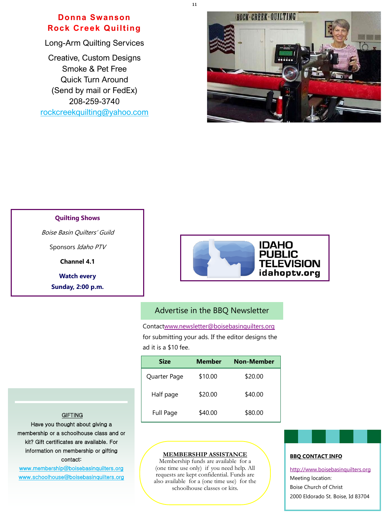11

#### **GIFTING**

#### **Quilting Shows**

Boise Basin Quilters' Guild

Sponsors Idaho PTV

**Channel 4.1**

**Watch every**

**Sunday, 2:00 p.m.**



# Advertise in the BBQ Newsletter

Contac[twww.newsletter@boisebasinquilters.org](mailto:www.newsletter@boisebasinquilters.org) for submitting your ads. If the editor designs the ad it is a \$10 fee.

| <b>Size</b>  | <b>Member</b> | <b>Non-Member</b> |
|--------------|---------------|-------------------|
| Quarter Page | \$10.00       | \$20.00           |
| Half page    | \$20.00       | \$40.00           |

Full Page \$40.00 \$80.00

#### **BBQ CONTACT INFO**

<http://www.boisebasinquilters.org>

Meeting location:

Boise Church of Christ

2000 Eldorado St. Boise, Id 83704

**MEMBERSHIP ASSISTANCE** 

Membership funds are available for a (one time use only) if you need help. All requests are kept confidential. Funds are also available for a (one time use) for the schoolhouse classes or kits.

Have you thought about giving a membership or a schoolhouse class and or kit? Gift certificates are available. For information on membership or gifting contact: [www.membership@boisebasinquilters.org](mailto:membership@boisebasinquilters.org)  [www.schoolhouse@boisebasinquilters.org](mailto:schoolhouse@boisebasinquilters.org)

**Donna Swanson Rock Creek Quilting**

Long-Arm Quilting Services

Creative, Custom Designs Smoke & Pet Free Quick Turn Around (Send by mail or FedEx) 208-259-3740 [rockcreekquilting@yahoo.com](mailto:Rockcreekquilting@yahoo.com)